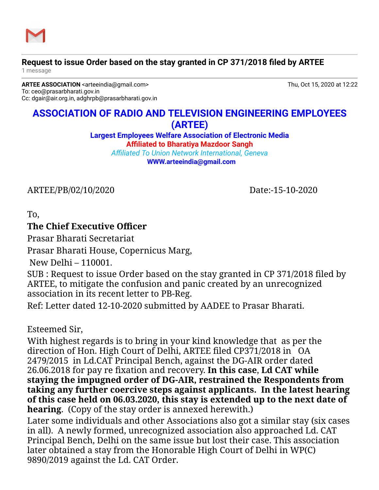

## **Request to issue Order based on the stay granted in CP 371/2018 filed by ARTEE**

1 message

**ARTEE ASSOCIATION** <arteeindia@gmail.com> Thu, Oct 15, 2020 at 12:22 To: ceo@prasarbharati.gov.in Cc: dgair@air.org.in, adghrpb@prasarbharati.gov.in

## **ASSOCIATION OF RADIO AND TELEVISION ENGINEERING EMPLOYEES (ARTEE)**

**Largest Employees Welfare Association of Electronic Media Affiliated to Bharatiya Mazdoor Sangh**

*Affiliated To Union Network International, Geneva* **[WWW.arteeindia@gmail.com](http://WWW.arteeindia@gmail.com/)**

ARTEE/PB/02/10/2020 Date:-15-10-2020

To,

## **The Chief Executive Officer**

Prasar Bharati Secretariat

Prasar Bharati House, Copernicus Marg,

New Delhi – 110001.

SUB : Request to issue Order based on the stay granted in CP 371/2018 filed by ARTEE, to mitigate the confusion and panic created by an unrecognized association in its recent letter to PB-Reg.

Ref: Letter dated 12-10-2020 submitted by AADEE to Prasar Bharati.

Esteemed Sir,

With highest regards is to bring in your kind knowledge that as per the direction of Hon. High Court of Delhi, ARTEE filed CP371/2018 in OA 2479/2015 in Ld.CAT Principal Bench, against the DG-AIR order dated 26.06.2018 for pay re fixation and recovery. **In this case**, **Ld CAT while staying the impugned order of DG-AIR, restrained the Respondents from taking any further coercive steps against applicants. In the latest hearing of this case held on 06.03.2020, this stay is extended up to the next date of hearing**. (Copy of the stay order is annexed herewith.) Later some individuals and other Associations also got a similar stay (six cases in all). A newly formed, unrecognized association also approached Ld. CAT Principal Bench, Delhi on the same issue but lost their case. This association

later obtained a stay from the Honorable High Court of Delhi in WP(C) 9890/2019 against the Ld. CAT Order.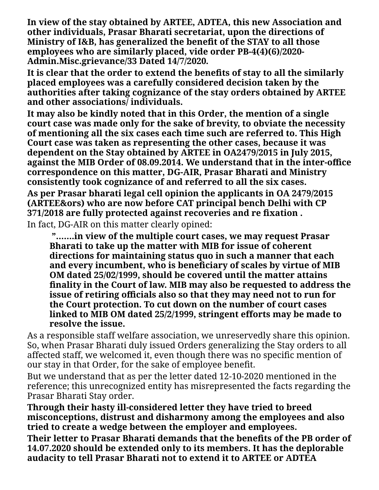**In view of the stay obtained by ARTEE, ADTEA, this new Association and other individuals, Prasar Bharati secretariat, upon the directions of Ministry of I&B, has generalized the benefit of the STAY to all those employees who are similarly placed, vide order PB-4(4)(6)/2020- Admin.Misc.grievance/33 Dated 14/7/2020***.*

**It is clear that the order to extend the benefits of stay to all the similarly placed employees was a carefully considered decision taken by the authorities after taking cognizance of the stay orders obtained by ARTEE and other associations/ individuals.**

**It may also be kindly noted that in this Order, the mention of a single court case was made only for the sake of brevity, to obviate the necessity of mentioning all the six cases each time such are referred to. This High Court case was taken as representing the other cases, because it was dependent on the Stay obtained by ARTEE in OA2479/2015 in July 2015, against the MIB Order of 08.09.2014. We understand that in the inter-office correspondence on this matter, DG-AIR, Prasar Bharati and Ministry consistently took cognizance of and referred to all the six cases. As per Prasar bharati legal cell opinion the applicants in OA 2479/2015 (ARTEE&ors) who are now before CAT principal bench Delhi with CP 371/2018 are fully protected against recoveries and re fixation .** In fact, DG-AIR on this matter clearly opined:

**"…….in view of the multiple court cases, we may request Prasar Bharati to take up the matter with MIB for issue of coherent directions for maintaining status quo in such a manner that each and every incumbent, who is beneficiary of scales by virtue of MIB OM dated 25/02/1999, should be covered until the matter attains finality in the Court of law. MIB may also be requested to address the issue of retiring officials also so that they may need not to run for the Court protection. To cut down on the number of court cases linked to MIB OM dated 25/2/1999, stringent efforts may be made to resolve the issue.**

As a responsible staff welfare association, we unreservedly share this opinion. So, when Prasar Bharati duly issued Orders generalizing the Stay orders to all affected staff, we welcomed it, even though there was no specific mention of our stay in that Order, for the sake of employee benefit.

But we understand that as per the letter dated 12-10-2020 mentioned in the reference; this unrecognized entity has misrepresented the facts regarding the Prasar Bharati Stay order.

**Through their hasty ill-considered letter they have tried to breed misconceptions, distrust and disharmony among the employees and also tried to create a wedge between the employer and employees.**

**Their letter to Prasar Bharati demands that the benefits of the PB order of 14.07.2020 should be extended only to its members. It has the deplorable audacity to tell Prasar Bharati not to extend it to ARTEE or ADTEA**